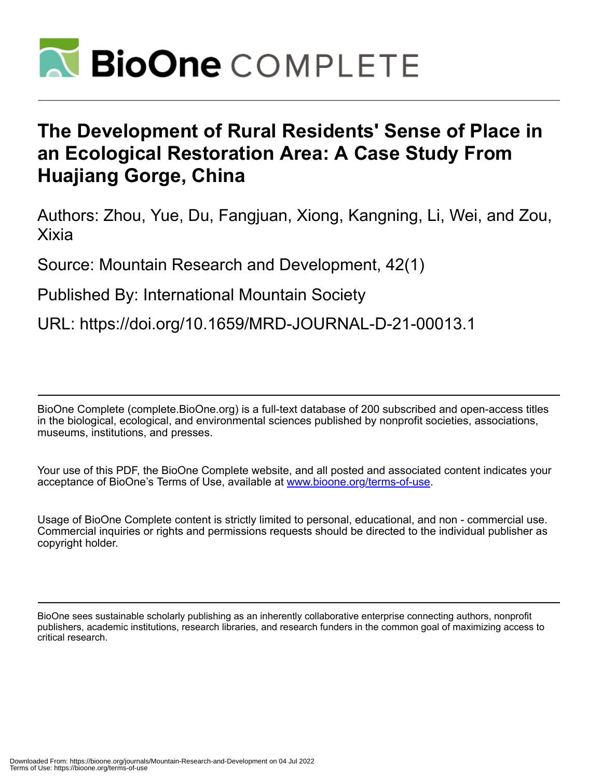

# **The Development of Rural Residents' Sense of Place in an Ecological Restoration Area: A Case Study From Huajiang Gorge, China**

Authors: Zhou, Yue, Du, Fangjuan, Xiong, Kangning, Li, Wei, and Zou, Xixia

Source: Mountain Research and Development, 42(1)

Published By: International Mountain Society

URL: https://doi.org/10.1659/MRD-JOURNAL-D-21-00013.1

BioOne Complete (complete.BioOne.org) is a full-text database of 200 subscribed and open-access titles in the biological, ecological, and environmental sciences published by nonprofit societies, associations, museums, institutions, and presses.

Your use of this PDF, the BioOne Complete website, and all posted and associated content indicates your acceptance of BioOne's Terms of Use, available at www.bioone.org/terms-of-use.

Usage of BioOne Complete content is strictly limited to personal, educational, and non - commercial use. Commercial inquiries or rights and permissions requests should be directed to the individual publisher as copyright holder.

BioOne sees sustainable scholarly publishing as an inherently collaborative enterprise connecting authors, nonprofit publishers, academic institutions, research libraries, and research funders in the common goal of maximizing access to critical research.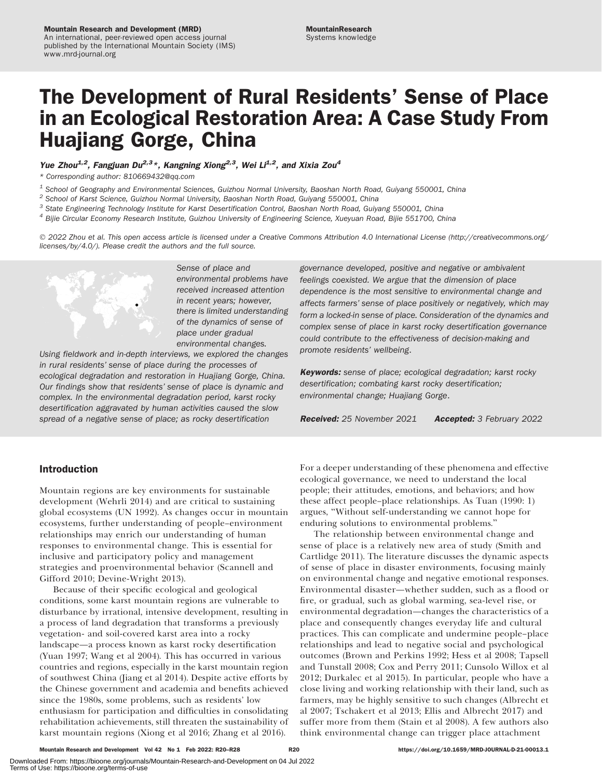# The Development of Rural Residents' Sense of Place in an Ecological Restoration Area: A Case Study From Huajiang Gorge, China

Yue Zhou<sup>1,2</sup>, Fangjuan Du<sup>2,3</sup>\*, Kangning Xiong<sup>2,3</sup>, Wei Li<sup>1,2</sup>, and Xixia Zou<sup>4</sup>

\* Corresponding author: [810669432@qq.com](mailto:810669432@qq.com)

 $1$  School of Geography and Environmental Sciences, Guizhou Normal University, Baoshan North Road, Guiyang 550001, China

 $2$  School of Karst Science, Guizhou Normal University, Baoshan North Road, Guiyang 550001, China

 $3$  State Engineering Technology Institute for Karst Desertification Control, Baoshan North Road, Guiyang 550001, China

<sup>4</sup> Bijie Circular Economy Research Institute, Guizhou University of Engineering Science, Xueyuan Road, Bijie 551700, China

- 2022 Zhou et al. This open access article is licensed under a Creative Commons Attribution 4.0 International License ([http://creativecommons.org/](http://creativecommons.org/licenses/by/4.0/) [licenses/by/4.0/\)](http://creativecommons.org/licenses/by/4.0/). Please credit the authors and the full source.



Sense of place and environmental problems have received increased attention in recent years; however, there is limited understanding of the dynamics of sense of place under gradual environmental changes.

Using fieldwork and in-depth interviews, we explored the changes in rural residents' sense of place during the processes of ecological degradation and restoration in Huajiang Gorge, China. Our findings show that residents' sense of place is dynamic and complex. In the environmental degradation period, karst rocky desertification aggravated by human activities caused the slow spread of a negative sense of place; as rocky desertification

# Introduction

Mountain regions are key environments for sustainable development (Wehrli 2014) and are critical to sustaining global ecosystems (UN 1992). As changes occur in mountain ecosystems, further understanding of people–environment relationships may enrich our understanding of human responses to environmental change. This is essential for inclusive and participatory policy and management strategies and proenvironmental behavior (Scannell and Gifford 2010; Devine-Wright 2013).

Because of their specific ecological and geological conditions, some karst mountain regions are vulnerable to disturbance by irrational, intensive development, resulting in a process of land degradation that transforms a previously vegetation- and soil-covered karst area into a rocky landscape—a process known as karst rocky desertification (Yuan 1997; Wang et al 2004). This has occurred in various countries and regions, especially in the karst mountain region of southwest China (Jiang et al 2014). Despite active efforts by the Chinese government and academia and benefits achieved since the 1980s, some problems, such as residents' low enthusiasm for participation and difficulties in consolidating rehabilitation achievements, still threaten the sustainability of karst mountain regions (Xiong et al 2016; Zhang et al 2016).

governance developed, positive and negative or ambivalent feelings coexisted. We argue that the dimension of place dependence is the most sensitive to environmental change and affects farmers' sense of place positively or negatively, which may form a locked-in sense of place. Consideration of the dynamics and complex sense of place in karst rocky desertification governance could contribute to the effectiveness of decision-making and promote residents' wellbeing.

Keywords: sense of place; ecological degradation; karst rocky desertification; combating karst rocky desertification; environmental change; Huajiang Gorge.

Received: 25 November 2021 Accepted: 3 February 2022

For a deeper understanding of these phenomena and effective ecological governance, we need to understand the local people; their attitudes, emotions, and behaviors; and how these affect people–place relationships. As Tuan (1990: 1) argues, ''Without self-understanding we cannot hope for enduring solutions to environmental problems.''

The relationship between environmental change and sense of place is a relatively new area of study (Smith and Cartlidge 2011). The literature discusses the dynamic aspects of sense of place in disaster environments, focusing mainly on environmental change and negative emotional responses. Environmental disaster—whether sudden, such as a flood or fire, or gradual, such as global warming, sea-level rise, or environmental degradation—changes the characteristics of a place and consequently changes everyday life and cultural practices. This can complicate and undermine people–place relationships and lead to negative social and psychological outcomes (Brown and Perkins 1992; Hess et al 2008; Tapsell and Tunstall 2008; Cox and Perry 2011; Cunsolo Willox et al 2012; Durkalec et al 2015). In particular, people who have a close living and working relationship with their land, such as farmers, may be highly sensitive to such changes (Albrecht et al 2007; Tschakert et al 2013; Ellis and Albrecht 2017) and suffer more from them (Stain et al 2008). A few authors also think environmental change can trigger place attachment

Mountain Research and Development Vol 42 No 1 Feb 2022: R20–R28 R20 R20 https://doi.org/10.1659/MRD-JOURNAL-D-21-00013.1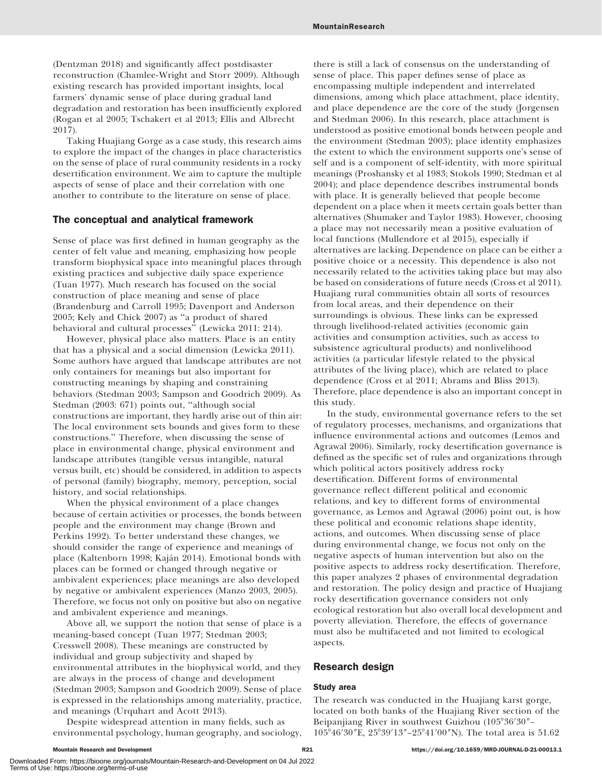(Dentzman 2018) and significantly affect postdisaster reconstruction (Chamlee-Wright and Storr 2009). Although existing research has provided important insights, local farmers' dynamic sense of place during gradual land degradation and restoration has been insufficiently explored (Rogan et al 2005; Tschakert et al 2013; Ellis and Albrecht 2017).

Taking Huajiang Gorge as a case study, this research aims to explore the impact of the changes in place characteristics on the sense of place of rural community residents in a rocky desertification environment. We aim to capture the multiple aspects of sense of place and their correlation with one another to contribute to the literature on sense of place.

# The conceptual and analytical framework

Sense of place was first defined in human geography as the center of felt value and meaning, emphasizing how people transform biophysical space into meaningful places through existing practices and subjective daily space experience (Tuan 1977). Much research has focused on the social construction of place meaning and sense of place (Brandenburg and Carroll 1995; Davenport and Anderson 2005; Kely and Chick 2007) as ''a product of shared behavioral and cultural processes'' (Lewicka 2011: 214).

However, physical place also matters. Place is an entity that has a physical and a social dimension (Lewicka 2011). Some authors have argued that landscape attributes are not only containers for meanings but also important for constructing meanings by shaping and constraining behaviors (Stedman 2003; Sampson and Goodrich 2009). As Stedman (2003: 671) points out, ''although social constructions are important, they hardly arise out of thin air: The local environment sets bounds and gives form to these constructions.'' Therefore, when discussing the sense of place in environmental change, physical environment and landscape attributes (tangible versus intangible, natural versus built, etc) should be considered, in addition to aspects of personal (family) biography, memory, perception, social history, and social relationships.

When the physical environment of a place changes because of certain activities or processes, the bonds between people and the environment may change (Brown and Perkins 1992). To better understand these changes, we should consider the range of experience and meanings of place (Kaltenborn 1998; Kaján 2014). Emotional bonds with places can be formed or changed through negative or ambivalent experiences; place meanings are also developed by negative or ambivalent experiences (Manzo 2003, 2005). Therefore, we focus not only on positive but also on negative and ambivalent experience and meanings.

Above all, we support the notion that sense of place is a meaning-based concept (Tuan 1977; Stedman 2003; Cresswell 2008). These meanings are constructed by individual and group subjectivity and shaped by environmental attributes in the biophysical world, and they are always in the process of change and development (Stedman 2003; Sampson and Goodrich 2009). Sense of place is expressed in the relationships among materiality, practice, and meanings (Urquhart and Acott 2013).

Despite widespread attention in many fields, such as environmental psychology, human geography, and sociology, there is still a lack of consensus on the understanding of sense of place. This paper defines sense of place as encompassing multiple independent and interrelated dimensions, among which place attachment, place identity, and place dependence are the core of the study (Jorgensen and Stedman 2006). In this research, place attachment is understood as positive emotional bonds between people and the environment (Stedman 2003); place identity emphasizes the extent to which the environment supports one's sense of self and is a component of self-identity, with more spiritual meanings (Proshansky et al 1983; Stokols 1990; Stedman et al 2004); and place dependence describes instrumental bonds with place. It is generally believed that people become dependent on a place when it meets certain goals better than alternatives (Shumaker and Taylor 1983). However, choosing a place may not necessarily mean a positive evaluation of local functions (Mullendore et al 2015), especially if alternatives are lacking. Dependence on place can be either a positive choice or a necessity. This dependence is also not necessarily related to the activities taking place but may also be based on considerations of future needs (Cross et al 2011). Huajiang rural communities obtain all sorts of resources from local areas, and their dependence on their surroundings is obvious. These links can be expressed through livelihood-related activities (economic gain activities and consumption activities, such as access to subsistence agricultural products) and nonlivelihood activities (a particular lifestyle related to the physical attributes of the living place), which are related to place dependence (Cross et al 2011; Abrams and Bliss 2013). Therefore, place dependence is also an important concept in this study.

In the study, environmental governance refers to the set of regulatory processes, mechanisms, and organizations that influence environmental actions and outcomes (Lemos and Agrawal 2006). Similarly, rocky desertification governance is defined as the specific set of rules and organizations through which political actors positively address rocky desertification. Different forms of environmental governance reflect different political and economic relations, and key to different forms of environmental governance, as Lemos and Agrawal (2006) point out, is how these political and economic relations shape identity, actions, and outcomes. When discussing sense of place during environmental change, we focus not only on the negative aspects of human intervention but also on the positive aspects to address rocky desertification. Therefore, this paper analyzes 2 phases of environmental degradation and restoration. The policy design and practice of Huajiang rocky desertification governance considers not only ecological restoration but also overall local development and poverty alleviation. Therefore, the effects of governance must also be multifaceted and not limited to ecological aspects.

# Research design

### Study area

The research was conducted in the Huajiang karst gorge, located on both banks of the Huajiang River section of the Beipanjiang River in southwest Guizhou (105°36′30″– 105°46'30"E, 25°39'13"-25°41'00"N). The total area is 51.62

Downloaded From: https://bioone.org/journals/Mountain-Research-and-Development on 04 Jul 2022 Terms of Use: https://bioone.org/terms-of-use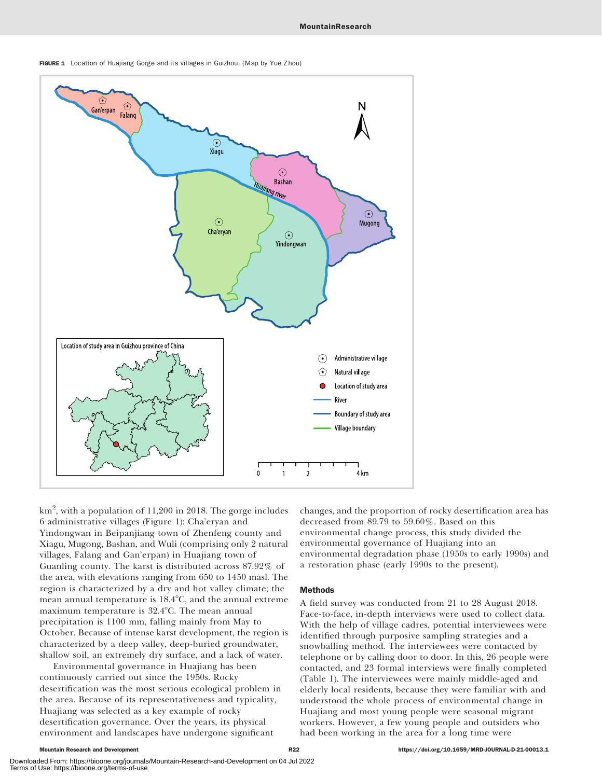

FIGURE 1 Location of Huajiang Gorge and its villages in Guizhou. (Map by Yue Zhou)

km $^2$ , with a population of  $11,\!200$  in  $2018.$  The gorge includes 6 administrative villages (Figure 1): Cha'eryan and Yindongwan in Beipanjiang town of Zhenfeng county and Xiagu, Mugong, Bashan, and Wuli (comprising only 2 natural villages, Falang and Gan'erpan) in Huajiang town of Guanling county. The karst is distributed across 87.92% of the area, with elevations ranging from 650 to 1450 masl. The region is characterized by a dry and hot valley climate; the mean annual temperature is 18.4°C, and the annual extreme maximum temperature is 32.4°C. The mean annual precipitation is 1100 mm, falling mainly from May to October. Because of intense karst development, the region is characterized by a deep valley, deep-buried groundwater, shallow soil, an extremely dry surface, and a lack of water.

Environmental governance in Huajiang has been continuously carried out since the 1950s. Rocky desertification was the most serious ecological problem in the area. Because of its representativeness and typicality, Huajiang was selected as a key example of rocky desertification governance. Over the years, its physical environment and landscapes have undergone significant

changes, and the proportion of rocky desertification area has decreased from 89.79 to 59.60%. Based on this environmental change process, this study divided the environmental governance of Huajiang into an environmental degradation phase (1950s to early 1990s) and a restoration phase (early 1990s to the present).

#### Methods

A field survey was conducted from 21 to 28 August 2018. Face-to-face, in-depth interviews were used to collect data. With the help of village cadres, potential interviewees were identified through purposive sampling strategies and a snowballing method. The interviewees were contacted by telephone or by calling door to door. In this, 26 people were contacted, and 23 formal interviews were finally completed (Table 1). The interviewees were mainly middle-aged and elderly local residents, because they were familiar with and understood the whole process of environmental change in Huajiang and most young people were seasonal migrant workers. However, a few young people and outsiders who had been working in the area for a long time were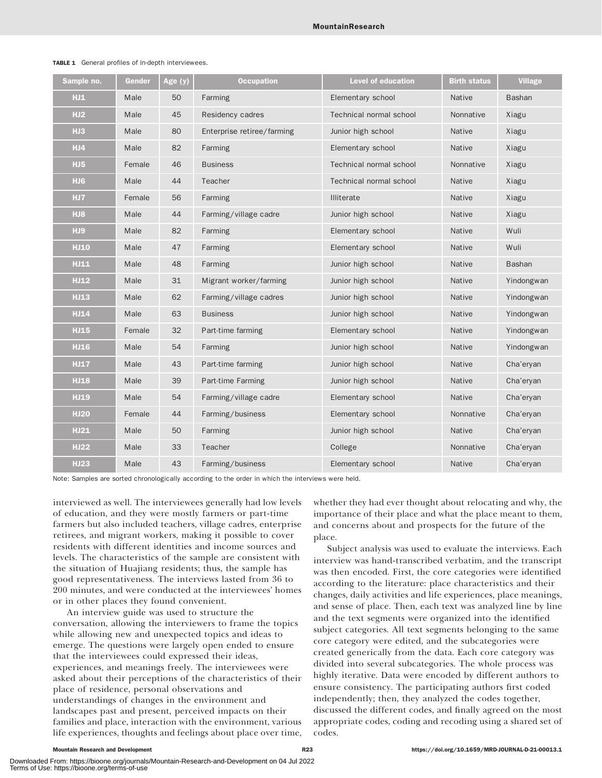| Sample no.      | Gender | Age (y) | <b>Occupation</b>          | <b>Level of education</b> | <b>Birth status</b> | <b>Village</b> |
|-----------------|--------|---------|----------------------------|---------------------------|---------------------|----------------|
| HJ1             | Male   | 50      | Farming                    | Elementary school         | <b>Native</b>       | <b>Bashan</b>  |
| HJ2             | Male   | 45      | Residency cadres           | Technical normal school   | Nonnative           | Xiagu          |
| HJ3             | Male   | 80      | Enterprise retiree/farming | Junior high school        | <b>Native</b>       | Xiagu          |
| HJ4             | Male   | 82      | Farming                    | Elementary school         | <b>Native</b>       | Xiagu          |
| HJ5             | Female | 46      | <b>Business</b>            | Technical normal school   | Nonnative           | Xiagu          |
| HJ <sub>6</sub> | Male   | 44      | Teacher                    | Technical normal school   | <b>Native</b>       | Xiagu          |
| HJ7             | Female | 56      | Farming                    | <b>Illiterate</b>         | <b>Native</b>       | Xiagu          |
| HJ8             | Male   | 44      | Farming/village cadre      | Junior high school        | <b>Native</b>       | Xiagu          |
| HJ9             | Male   | 82      | Farming                    | Elementary school         | <b>Native</b>       | Wuli           |
| <b>HJ10</b>     | Male   | 47      | Farming                    | Elementary school         | <b>Native</b>       | Wuli           |
| <b>HJ11</b>     | Male   | 48      | Farming                    | Junior high school        | <b>Native</b>       | <b>Bashan</b>  |
| <b>HJ12</b>     | Male   | 31      | Migrant worker/farming     | Junior high school        | <b>Native</b>       | Yindongwan     |
| <b>HJ13</b>     | Male   | 62      | Farming/village cadres     | Junior high school        | Native              | Yindongwan     |
| <b>HJ14</b>     | Male   | 63      | <b>Business</b>            | Junior high school        | Native              | Yindongwan     |
| <b>HJ15</b>     | Female | 32      | Part-time farming          | Elementary school         | <b>Native</b>       | Yindongwan     |
| <b>HJ16</b>     | Male   | 54      | Farming                    | Junior high school        | <b>Native</b>       | Yindongwan     |
| <b>HJ17</b>     | Male   | 43      | Part-time farming          | Junior high school        | <b>Native</b>       | Cha'eryan      |
| <b>HJ18</b>     | Male   | 39      | Part-time Farming          | Junior high school        | <b>Native</b>       | Cha'eryan      |
| <b>HJ19</b>     | Male   | 54      | Farming/village cadre      | Elementary school         | <b>Native</b>       | Cha'eryan      |
| <b>HJ20</b>     | Female | 44      | Farming/business           | Elementary school         | Nonnative           | Cha'eryan      |
| <b>HJ21</b>     | Male   | 50      | Farming                    | Junior high school        | <b>Native</b>       | Cha'eryan      |
| <b>HJ22</b>     | Male   | 33      | Teacher                    | College                   | Nonnative           | Cha'eryan      |
| <b>HJ23</b>     | Male   | 43      | Farming/business           | Elementary school         | <b>Native</b>       | Cha'eryan      |

#### TABLE 1 General profiles of in-depth interviewees.

Note: Samples are sorted chronologically according to the order in which the interviews were held.

interviewed as well. The interviewees generally had low levels of education, and they were mostly farmers or part-time farmers but also included teachers, village cadres, enterprise retirees, and migrant workers, making it possible to cover residents with different identities and income sources and levels. The characteristics of the sample are consistent with the situation of Huajiang residents; thus, the sample has good representativeness. The interviews lasted from 36 to 200 minutes, and were conducted at the interviewees' homes or in other places they found convenient.

An interview guide was used to structure the conversation, allowing the interviewers to frame the topics while allowing new and unexpected topics and ideas to emerge. The questions were largely open ended to ensure that the interviewees could expressed their ideas, experiences, and meanings freely. The interviewees were asked about their perceptions of the characteristics of their place of residence, personal observations and understandings of changes in the environment and landscapes past and present, perceived impacts on their families and place, interaction with the environment, various life experiences, thoughts and feelings about place over time, whether they had ever thought about relocating and why, the importance of their place and what the place meant to them, and concerns about and prospects for the future of the place.

Subject analysis was used to evaluate the interviews. Each interview was hand-transcribed verbatim, and the transcript was then encoded. First, the core categories were identified according to the literature: place characteristics and their changes, daily activities and life experiences, place meanings, and sense of place. Then, each text was analyzed line by line and the text segments were organized into the identified subject categories. All text segments belonging to the same core category were edited, and the subcategories were created generically from the data. Each core category was divided into several subcategories. The whole process was highly iterative. Data were encoded by different authors to ensure consistency. The participating authors first coded independently; then, they analyzed the codes together, discussed the different codes, and finally agreed on the most appropriate codes, coding and recoding using a shared set of codes.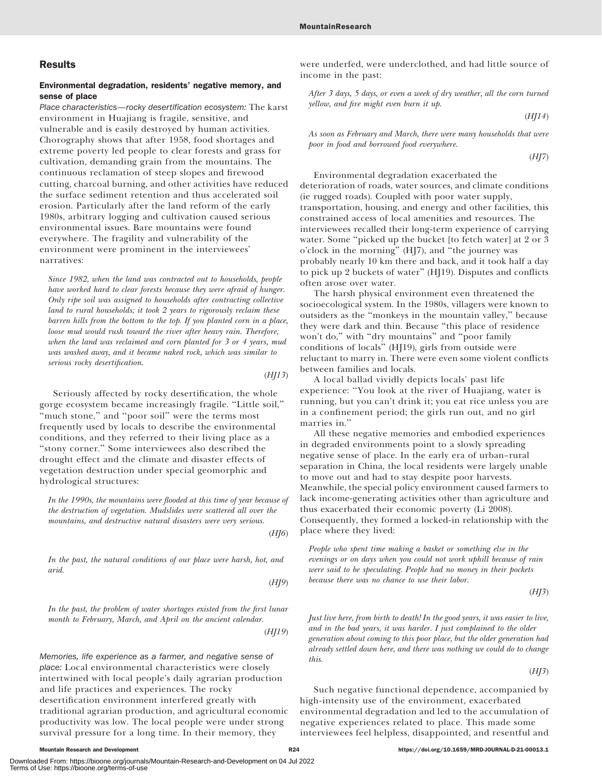# **Results**

# Environmental degradation, residents' negative memory, and sense of place

Place characteristics—rocky desertification ecosystem: The karst environment in Huajiang is fragile, sensitive, and vulnerable and is easily destroyed by human activities. Chorography shows that after 1958, food shortages and extreme poverty led people to clear forests and grass for cultivation, demanding grain from the mountains. The continuous reclamation of steep slopes and firewood cutting, charcoal burning, and other activities have reduced the surface sediment retention and thus accelerated soil erosion. Particularly after the land reform of the early 1980s, arbitrary logging and cultivation caused serious environmental issues. Bare mountains were found everywhere. The fragility and vulnerability of the environment were prominent in the interviewees' narratives:

Since 1982, when the land was contracted out to households, people have worked hard to clear forests because they were afraid of hunger. Only ripe soil was assigned to households after contracting collective land to rural households; it took 2 years to rigorously reclaim these barren hills from the bottom to the top. If you planted corn in a place, loose mud would rush toward the river after heavy rain. Therefore, when the land was reclaimed and corn planted for 3 or 4 years, mud was washed away, and it became naked rock, which was similar to serious rocky desertification.

Seriously affected by rocky desertification, the whole gorge ecosystem became increasingly fragile. ''Little soil,'' "much stone," and "poor soil" were the terms most frequently used by locals to describe the environmental conditions, and they referred to their living place as a "stony corner." Some interviewees also described the drought effect and the climate and disaster effects of vegetation destruction under special geomorphic and hydrological structures:

In the 1990s, the mountains were flooded at this time of year because of the destruction of vegetation. Mudslides were scattered all over the mountains, and destructive natural disasters were very serious.

 $(HJ6)$ 

 $(HII3)$ 

In the past, the natural conditions of our place were harsh, hot, and arid.

(HJ9)

In the past, the problem of water shortages existed from the first lunar month to February, March, and April on the ancient calendar.

(HJ19)

Memories, life experience as a farmer, and negative sense of place: Local environmental characteristics were closely intertwined with local people's daily agrarian production and life practices and experiences. The rocky desertification environment interfered greatly with traditional agrarian production, and agricultural economic productivity was low. The local people were under strong survival pressure for a long time. In their memory, they

were underfed, were underclothed, and had little source of income in the past:

After 3 days, 5 days, or even a week of dry weather, all the corn turned yellow, and fire might even burn it up.

 $(HII4)$ 

As soon as February and March, there were many households that were poor in food and borrowed food everywhere.

 $(HJ7)$ 

Environmental degradation exacerbated the deterioration of roads, water sources, and climate conditions (ie rugged roads). Coupled with poor water supply, transportation, housing, and energy and other facilities, this constrained access of local amenities and resources. The interviewees recalled their long-term experience of carrying water. Some ''picked up the bucket [to fetch water] at 2 or 3 o'clock in the morning'' (HJ7), and ''the journey was probably nearly 10 km there and back, and it took half a day to pick up 2 buckets of water'' (HJ19). Disputes and conflicts often arose over water.

The harsh physical environment even threatened the socioecological system. In the 1980s, villagers were known to outsiders as the ''monkeys in the mountain valley,'' because they were dark and thin. Because ''this place of residence won't do," with "dry mountains" and "poor family conditions of locals'' (HJ19), girls from outside were reluctant to marry in. There were even some violent conflicts between families and locals.

A local ballad vividly depicts locals' past life experience: ''You look at the river of Huajiang, water is running, but you can't drink it; you eat rice unless you are in a confinement period; the girls run out, and no girl marries in.''

All these negative memories and embodied experiences in degraded environments point to a slowly spreading negative sense of place. In the early era of urban–rural separation in China, the local residents were largely unable to move out and had to stay despite poor harvests. Meanwhile, the special policy environment caused farmers to lack income-generating activities other than agriculture and thus exacerbated their economic poverty (Li 2008). Consequently, they formed a locked-in relationship with the place where they lived:

People who spent time making a basket or something else in the evenings or on days when you could not work uphill because of rain were said to be speculating. People had no money in their pockets because there was no chance to use their labor.

 $(HJ3)$ 

Just live here, from birth to death! In the good years, it was easier to live, and in the bad years, it was harder. I just complained to the older generation about coming to this poor place, but the older generation had already settled down here, and there was nothing we could do to change this.

 $(HJ3)$ 

Such negative functional dependence, accompanied by high-intensity use of the environment, exacerbated environmental degradation and led to the accumulation of negative experiences related to place. This made some interviewees feel helpless, disappointed, and resentful and

Downloaded From: https://bioone.org/journals/Mountain-Research-and-Development on 04 Jul 2022 Terms of Use: https://bioone.org/terms-of-use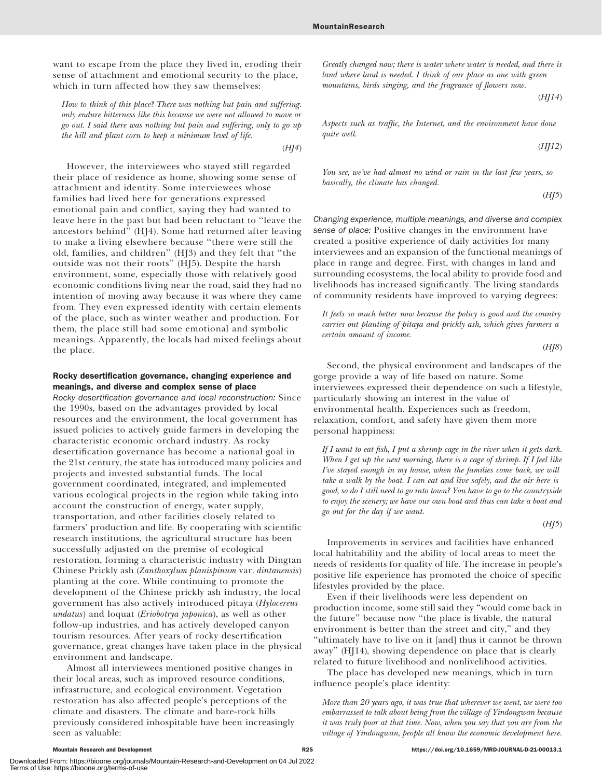$(HJ4)$ 

want to escape from the place they lived in, eroding their sense of attachment and emotional security to the place, which in turn affected how they saw themselves:

How to think of this place? There was nothing but pain and suffering. only endure bitterness like this because we were not allowed to move or go out. I said there was nothing but pain and suffering, only to go up the hill and plant corn to keep a minimum level of life.

However, the interviewees who stayed still regarded their place of residence as home, showing some sense of attachment and identity. Some interviewees whose families had lived here for generations expressed emotional pain and conflict, saying they had wanted to leave here in the past but had been reluctant to ''leave the ancestors behind'' (HJ4). Some had returned after leaving to make a living elsewhere because ''there were still the old, families, and children'' (HJ3) and they felt that ''the outside was not their roots'' (HJ5). Despite the harsh environment, some, especially those with relatively good economic conditions living near the road, said they had no intention of moving away because it was where they came from. They even expressed identity with certain elements of the place, such as winter weather and production. For them, the place still had some emotional and symbolic meanings. Apparently, the locals had mixed feelings about the place.

### Rocky desertification governance, changing experience and meanings, and diverse and complex sense of place

Rocky desertification governance and local reconstruction: Since the 1990s, based on the advantages provided by local resources and the environment, the local government has issued policies to actively guide farmers in developing the characteristic economic orchard industry. As rocky desertification governance has become a national goal in the 21st century, the state has introduced many policies and projects and invested substantial funds. The local government coordinated, integrated, and implemented various ecological projects in the region while taking into account the construction of energy, water supply, transportation, and other facilities closely related to farmers' production and life. By cooperating with scientific research institutions, the agricultural structure has been successfully adjusted on the premise of ecological restoration, forming a characteristic industry with Dingtan Chinese Prickly ash (Zanthoxylum planispinum var. dintanensis) planting at the core. While continuing to promote the development of the Chinese prickly ash industry, the local government has also actively introduced pitaya (Hylocereus undatus) and loquat (Eriobotrya japonica), as well as other follow-up industries, and has actively developed canyon tourism resources. After years of rocky desertification governance, great changes have taken place in the physical environment and landscape.

Almost all interviewees mentioned positive changes in their local areas, such as improved resource conditions, infrastructure, and ecological environment. Vegetation restoration has also affected people's perceptions of the climate and disasters. The climate and bare-rock hills previously considered inhospitable have been increasingly seen as valuable:

Downloaded From: https://bioone.org/journals/Mountain-Research-and-Development on 04 Jul 2022

Greatly changed now; there is water where water is needed, and there is land where land is needed. I think of our place as one with green mountains, birds singing, and the fragrance of flowers now.

$$
(HJI4)
$$

Aspects such as traffic, the Internet, and the environment have done quite well.

$$
(HJ12)
$$

You see, we've had almost no wind or rain in the last few years, so basically, the climate has changed.

$$
(HJ5)
$$

Changing experience, multiple meanings, and diverse and complex sense of place: Positive changes in the environment have created a positive experience of daily activities for many interviewees and an expansion of the functional meanings of place in range and degree. First, with changes in land and surrounding ecosystems, the local ability to provide food and livelihoods has increased significantly. The living standards of community residents have improved to varying degrees:

It feels so much better now because the policy is good and the country carries out planting of pitaya and prickly ash, which gives farmers a certain amount of income.

 $(HJ8)$ 

Second, the physical environment and landscapes of the gorge provide a way of life based on nature. Some interviewees expressed their dependence on such a lifestyle, particularly showing an interest in the value of environmental health. Experiences such as freedom, relaxation, comfort, and safety have given them more personal happiness:

If I want to eat fish, I put a shrimp cage in the river when it gets dark. When I get up the next morning, there is a cage of shrimp. If I feel like I've stayed enough in my house, when the families come back, we will take a walk by the boat. I can eat and live safely, and the air here is good, so do I still need to go into town? You have to go to the countryside to enjoy the scenery; we have our own boat and thus can take a boat and go out for the day if we want.

 $(HJ5)$ 

Improvements in services and facilities have enhanced local habitability and the ability of local areas to meet the needs of residents for quality of life. The increase in people's positive life experience has promoted the choice of specific lifestyles provided by the place.

Even if their livelihoods were less dependent on production income, some still said they ''would come back in the future'' because now ''the place is livable, the natural environment is better than the street and city," and they ''ultimately have to live on it [and] thus it cannot be thrown away'' (HJ14), showing dependence on place that is clearly related to future livelihood and nonlivelihood activities.

The place has developed new meanings, which in turn influence people's place identity:

More than 20 years ago, it was true that wherever we went, we were too embarrassed to talk about being from the village of Yindongwan because it was truly poor at that time. Now, when you say that you are from the village of Yindongwan, people all know the economic development here.

Terms of Use: https://bioone.org/terms-of-use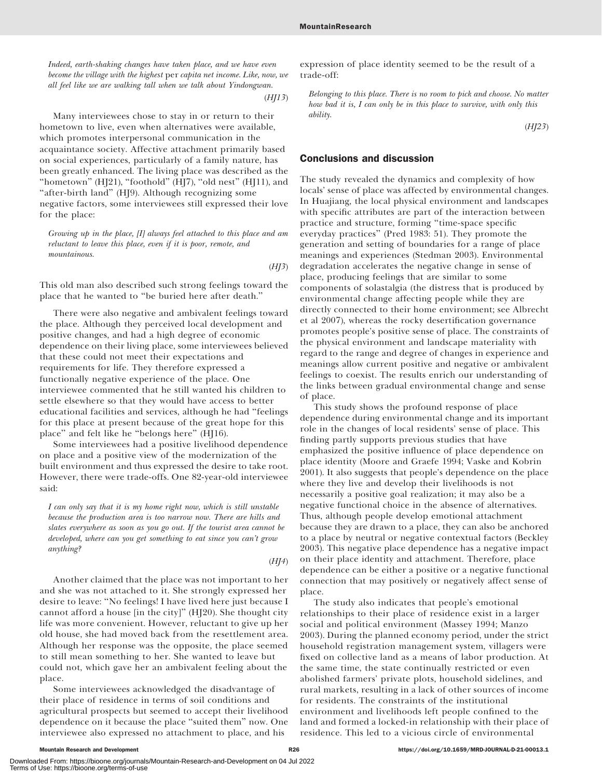Indeed, earth-shaking changes have taken place, and we have even become the village with the highest per capita net income. Like, now, we all feel like we are walking tall when we talk about Yindongwan.

 $(HJ13)$ 

Many interviewees chose to stay in or return to their hometown to live, even when alternatives were available, which promotes interpersonal communication in the acquaintance society. Affective attachment primarily based on social experiences, particularly of a family nature, has been greatly enhanced. The living place was described as the ''hometown'' (HJ21), ''foothold'' (HJ7), ''old nest'' (HJ11), and "after-birth land" (HJ9). Although recognizing some negative factors, some interviewees still expressed their love for the place:

Growing up in the place, [I] always feel attached to this place and am reluctant to leave this place, even if it is poor, remote, and mountainous.

 $(HJ3)$ 

This old man also described such strong feelings toward the place that he wanted to ''be buried here after death.''

There were also negative and ambivalent feelings toward the place. Although they perceived local development and positive changes, and had a high degree of economic dependence on their living place, some interviewees believed that these could not meet their expectations and requirements for life. They therefore expressed a functionally negative experience of the place. One interviewee commented that he still wanted his children to settle elsewhere so that they would have access to better educational facilities and services, although he had ''feelings for this place at present because of the great hope for this place'' and felt like he ''belongs here'' (HJ16).

Some interviewees had a positive livelihood dependence on place and a positive view of the modernization of the built environment and thus expressed the desire to take root. However, there were trade-offs. One 82-year-old interviewee said:

I can only say that it is my home right now, which is still unstable because the production area is too narrow now. There are hills and slates everywhere as soon as you go out. If the tourist area cannot be developed, where can you get something to eat since you can't grow anything?

 $(HJ4)$ 

Another claimed that the place was not important to her and she was not attached to it. She strongly expressed her desire to leave: ''No feelings! I have lived here just because I cannot afford a house [in the city]'' (HJ20). She thought city life was more convenient. However, reluctant to give up her old house, she had moved back from the resettlement area. Although her response was the opposite, the place seemed to still mean something to her. She wanted to leave but could not, which gave her an ambivalent feeling about the place.

Some interviewees acknowledged the disadvantage of their place of residence in terms of soil conditions and agricultural prospects but seemed to accept their livelihood dependence on it because the place ''suited them'' now. One interviewee also expressed no attachment to place, and his

expression of place identity seemed to be the result of a trade-off:

Belonging to this place. There is no room to pick and choose. No matter how bad it is, I can only be in this place to survive, with only this ability.

 $(HJ23)$ 

#### Conclusions and discussion

The study revealed the dynamics and complexity of how locals' sense of place was affected by environmental changes. In Huajiang, the local physical environment and landscapes with specific attributes are part of the interaction between practice and structure, forming ''time-space specific everyday practices'' (Pred 1983: 51). They promote the generation and setting of boundaries for a range of place meanings and experiences (Stedman 2003). Environmental degradation accelerates the negative change in sense of place, producing feelings that are similar to some components of solastalgia (the distress that is produced by environmental change affecting people while they are directly connected to their home environment; see Albrecht et al 2007), whereas the rocky desertification governance promotes people's positive sense of place. The constraints of the physical environment and landscape materiality with regard to the range and degree of changes in experience and meanings allow current positive and negative or ambivalent feelings to coexist. The results enrich our understanding of the links between gradual environmental change and sense of place.

This study shows the profound response of place dependence during environmental change and its important role in the changes of local residents' sense of place. This finding partly supports previous studies that have emphasized the positive influence of place dependence on place identity (Moore and Graefe 1994; Vaske and Kobrin 2001). It also suggests that people's dependence on the place where they live and develop their livelihoods is not necessarily a positive goal realization; it may also be a negative functional choice in the absence of alternatives. Thus, although people develop emotional attachment because they are drawn to a place, they can also be anchored to a place by neutral or negative contextual factors (Beckley 2003). This negative place dependence has a negative impact on their place identity and attachment. Therefore, place dependence can be either a positive or a negative functional connection that may positively or negatively affect sense of place.

The study also indicates that people's emotional relationships to their place of residence exist in a larger social and political environment (Massey 1994; Manzo 2003). During the planned economy period, under the strict household registration management system, villagers were fixed on collective land as a means of labor production. At the same time, the state continually restricted or even abolished farmers' private plots, household sidelines, and rural markets, resulting in a lack of other sources of income for residents. The constraints of the institutional environment and livelihoods left people confined to the land and formed a locked-in relationship with their place of residence. This led to a vicious circle of environmental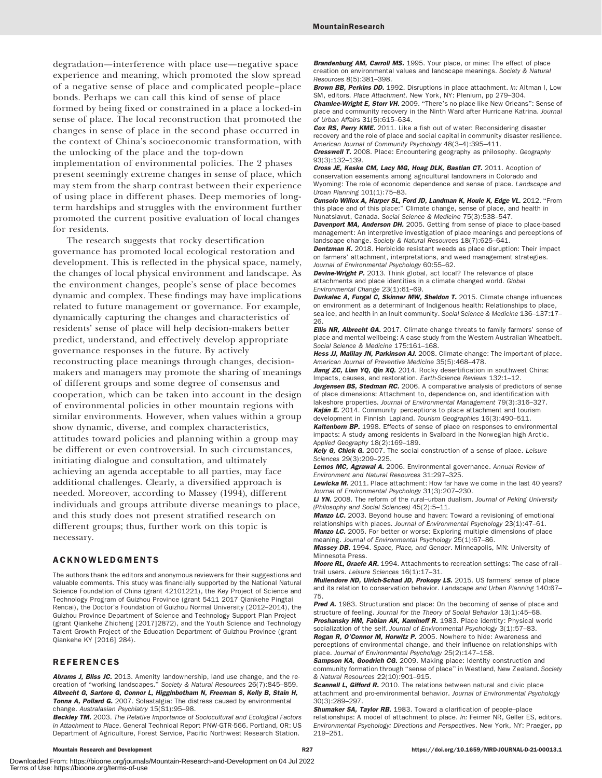degradation—interference with place use—negative space experience and meaning, which promoted the slow spread of a negative sense of place and complicated people–place bonds. Perhaps we can call this kind of sense of place formed by being fixed or constrained in a place a locked-in sense of place. The local reconstruction that promoted the changes in sense of place in the second phase occurred in the context of China's socioeconomic transformation, with the unlocking of the place and the top-down implementation of environmental policies. The 2 phases present seemingly extreme changes in sense of place, which may stem from the sharp contrast between their experience of using place in different phases. Deep memories of longterm hardships and struggles with the environment further promoted the current positive evaluation of local changes for residents.

The research suggests that rocky desertification governance has promoted local ecological restoration and development. This is reflected in the physical space, namely, the changes of local physical environment and landscape. As the environment changes, people's sense of place becomes dynamic and complex. These findings may have implications related to future management or governance. For example, dynamically capturing the changes and characteristics of residents' sense of place will help decision-makers better predict, understand, and effectively develop appropriate governance responses in the future. By actively reconstructing place meanings through changes, decisionmakers and managers may promote the sharing of meanings of different groups and some degree of consensus and cooperation, which can be taken into account in the design of environmental policies in other mountain regions with similar environments. However, when values within a group show dynamic, diverse, and complex characteristics, attitudes toward policies and planning within a group may be different or even controversial. In such circumstances, initiating dialogue and consultation, and ultimately achieving an agenda acceptable to all parties, may face additional challenges. Clearly, a diversified approach is needed. Moreover, according to Massey (1994), different individuals and groups attribute diverse meanings to place, and this study does not present stratified research on different groups; thus, further work on this topic is necessary.

## ACKNOWLEDGMENTS

The authors thank the editors and anonymous reviewers for their suggestions and valuable comments. This study was financially supported by the National Natural Science Foundation of China (grant 42101221), the Key Project of Science and Technology Program of Guizhou Province (grant 5411 2017 Qiankehe Pingtai Rencai), the Doctor's Foundation of Guizhou Normal University (2012–2014), the Guizhou Province Department of Science and Technology Support Plan Project (grant Qiankehe Zhicheng [2017]2872), and the Youth Science and Technology Talent Growth Project of the Education Department of Guizhou Province (grant Qiankehe KY [2016] 284).

#### REFERENCES

Abrams J, Bliss JC. 2013. Amenity landownership, land use change, and the recreation of ''working landscapes.'' Society & Natural Resources 26(7):845–859. Albrecht G, Sartore G, Connor L, Higginbotham N, Freeman S, Kelly B, Stain H, Tonna A, Pollard G. 2007. Solastalgia: The distress caused by environmental change. Australasian Psychiatry 15(S1):95–98.

Beckley TM. 2003. The Relative Importance of Sociocultural and Ecological Factors in Attachment to Place. General Technical Report PNW-GTR-566. Portland, OR: US Department of Agriculture, Forest Service, Pacific Northwest Research Station.

Brandenburg AM, Carroll MS. 1995. Your place, or mine: The effect of place creation on environmental values and landscape meanings. Society & Natural Resources 8(5):381–398.

Brown BB, Perkins DD. 1992. Disruptions in place attachment. In: Altman I, Low SM, editors. Place Attachment. New York, NY: Plenium, pp 279–304.

Chamlee-Wright E, Storr VH. 2009. "There's no place like New Orleans": Sense of place and community recovery in the Ninth Ward after Hurricane Katrina. Journal of Urban Affairs 31(5):615–634.

Cox RS, Perry KME. 2011. Like a fish out of water: Reconsidering disaster recovery and the role of place and social capital in community disaster resilience. American Journal of Community Psychology 48(3–4):395–411.

Cresswell T. 2008. Place: Encountering geography as philosophy. Geography 93(3):132–139.

Cross JE, Keske CM, Lacy MG, Hoag DLK, Bastian CT. 2011. Adoption of conservation easements among agricultural landowners in Colorado and Wyoming: The role of economic dependence and sense of place. Landscape and Urban Planning 101(1):75–83.

Cunsolo Willox A, Harper SL, Ford JD, Landman K, Houle K, Edge VL. 2012. "From this place and of this place:'' Climate change, sense of place, and health in Nunatsiavut, Canada. Social Science & Medicine 75(3):538–547.

Davenport MA, Anderson DH. 2005. Getting from sense of place to place-based management: An interpretive investigation of place meanings and perceptions of landscape change. Society & Natural Resources 18(7):625–641.

Dentzman K. 2018. Herbicide resistant weeds as place disruption: Their impact on farmers' attachment, interpretations, and weed management strategies. Journal of Environmental Psychology 60:55–62.

Devine-Wright P. 2013. Think global, act local? The relevance of place attachments and place identities in a climate changed world. Global Environmental Change 23(1):61–69.

Durkalec A, Furgal C, Skinner MW, Sheldon T. 2015. Climate change influences on environment as a determinant of Indigenous health: Relationships to place, sea ice, and health in an Inuit community. Social Science & Medicine 136–137:17– 26.

**Ellis NR, Albrecht GA.** 2017. Climate change threats to family farmers' sense of place and mental wellbeing: A case study from the Western Australian Wheatbelt. Social Science & Medicine 175:161–168.

Hess JJ, Malilay JN, Parkinson AJ. 2008. Climate change: The important of place. American Journal of Preventive Medicine 35(5):468–478.

Jiang ZC, Lian YQ, Qin XQ. 2014. Rocky desertification in southwest China: Impacts, causes, and restoration. Earth-Science Reviews 132:1–12.

Jorgensen BS, Stedman RC. 2006. A comparative analysis of predictors of sense of place dimensions: Attachment to, dependence on, and identification with lakeshore properties. Journal of Environmental Management 79(3):316–327.

Kaján E. 2014. Community perceptions to place attachment and tourism development in Finnish Lapland. Tourism Geographies 16(3):490–511. Kaltenborn BP. 1998. Effects of sense of place on responses to environmental

impacts: A study among residents in Svalbard in the Norwegian high Arctic. Applied Geography 18(2):169–189.

Kely G, Chick G. 2007. The social construction of a sense of place. Leisure Sciences 29(3):209–225.

Lemos MC, Agrawal A. 2006. Environmental governance. Annual Review of Environment and Natural Resources 31:297–325.

Lewicka M. 2011. Place attachment: How far have we come in the last 40 years? Journal of Environmental Psychology 31(3):207–230.

Li YN. 2008. The reform of the rural-urban dualism. Journal of Peking University (Philosophy and Social Sciences) 45(2):5–11.

Manzo LC. 2003. Beyond house and haven: Toward a revisioning of emotional relationships with places. Journal of Environmental Psychology 23(1):47–61. Manzo LC. 2005. For better or worse: Exploring multiple dimensions of place

meaning. Journal of Environmental Psychology 25(1):67–86.

Massey DB. 1994. Space, Place, and Gender. Minneapolis, MN: University of Minnesota Press.

Moore RL, Graefe AR. 1994. Attachments to recreation settings: The case of railtrail users. Leisure Sciences 16(1):17–31.

Mullendore ND, Ulrich-Schad JD, Prokopy LS. 2015. US farmers' sense of place and its relation to conservation behavior. Landscape and Urban Planning 140:67– 75.

Pred A. 1983. Structuration and place: On the becoming of sense of place and structure of feeling. Journal for the Theory of Social Behavior 13(1):45–68. Proshansky HM, Fabian AK, Kaminoff R. 1983. Place identity: Physical world socialization of the self. Journal of Environmental Psychology 3(1):57-83.

Rogan R, O'Connor M, Horwitz P. 2005. Nowhere to hide: Awareness and perceptions of environmental change, and their influence on relationships with place. Journal of Environmental Psychology 25(2):147–158.

Sampson KA, Goodrich CG. 2009. Making place: Identity construction and community formation through ''sense of place'' in Westland, New Zealand. Society & Natural Resources 22(10):901–915.

**Scannell L. Gifford R.** 2010. The relations between natural and civic place attachment and pro-environmental behavior. Journal of Environmental Psychology 30(3):289–297.

Shumaker SA, Taylor RB. 1983. Toward a clarification of people-place relationships: A model of attachment to place. In: Feimer NR, Geller ES, editors. Environmental Psychology: Directions and Perspectives. New York, NY: Praeger, pp 219–251.

Downloaded From: https://bioone.org/journals/Mountain-Research-and-Development on 04 Jul 2022 Terms of Use: https://bioone.org/terms-of-use